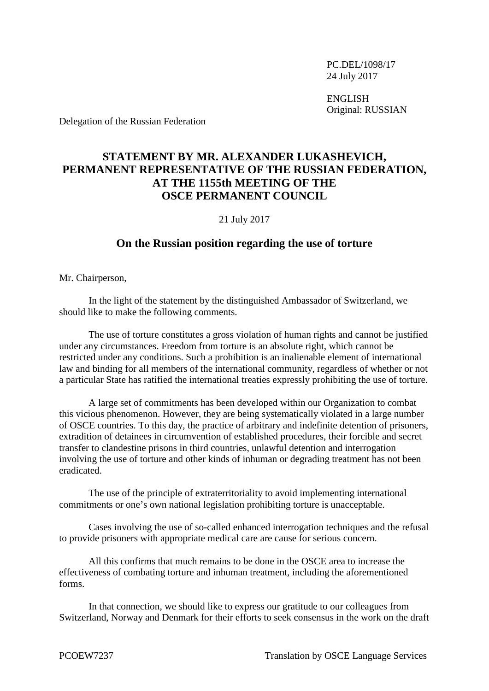PC.DEL/1098/17 24 July 2017

ENGLISH Original: RUSSIAN

Delegation of the Russian Federation

## **STATEMENT BY MR. ALEXANDER LUKASHEVICH, PERMANENT REPRESENTATIVE OF THE RUSSIAN FEDERATION, AT THE 1155th MEETING OF THE OSCE PERMANENT COUNCIL**

## 21 July 2017

## **On the Russian position regarding the use of torture**

Mr. Chairperson,

In the light of the statement by the distinguished Ambassador of Switzerland, we should like to make the following comments.

The use of torture constitutes a gross violation of human rights and cannot be justified under any circumstances. Freedom from torture is an absolute right, which cannot be restricted under any conditions. Such a prohibition is an inalienable element of international law and binding for all members of the international community, regardless of whether or not a particular State has ratified the international treaties expressly prohibiting the use of torture.

A large set of commitments has been developed within our Organization to combat this vicious phenomenon. However, they are being systematically violated in a large number of OSCE countries. To this day, the practice of arbitrary and indefinite detention of prisoners, extradition of detainees in circumvention of established procedures, their forcible and secret transfer to clandestine prisons in third countries, unlawful detention and interrogation involving the use of torture and other kinds of inhuman or degrading treatment has not been eradicated.

The use of the principle of extraterritoriality to avoid implementing international commitments or one's own national legislation prohibiting torture is unacceptable.

Cases involving the use of so-called enhanced interrogation techniques and the refusal to provide prisoners with appropriate medical care are cause for serious concern.

All this confirms that much remains to be done in the OSCE area to increase the effectiveness of combating torture and inhuman treatment, including the aforementioned forms.

In that connection, we should like to express our gratitude to our colleagues from Switzerland, Norway and Denmark for their efforts to seek consensus in the work on the draft